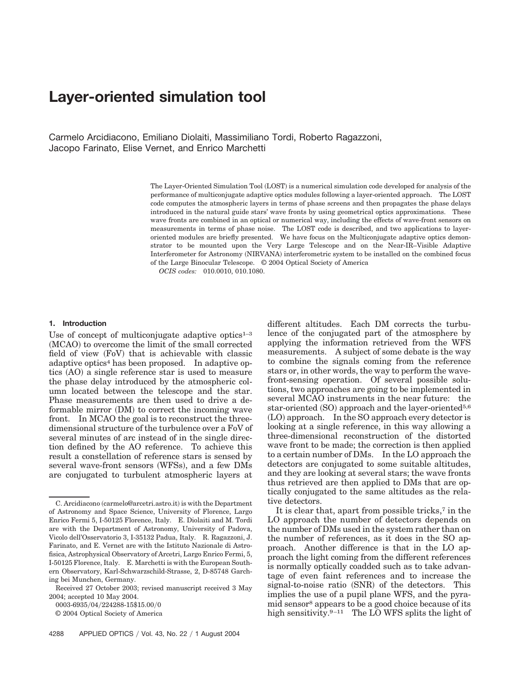# **Layer-oriented simulation tool**

Carmelo Arcidiacono, Emiliano Diolaiti, Massimiliano Tordi, Roberto Ragazzoni, Jacopo Farinato, Elise Vernet, and Enrico Marchetti

> The Layer-Oriented Simulation Tool (LOST) is a numerical simulation code developed for analysis of the performance of multiconjugate adaptive optics modules following a layer-oriented approach. The LOST code computes the atmospheric layers in terms of phase screens and then propagates the phase delays introduced in the natural guide stars' wave fronts by using geometrical optics approximations. These wave fronts are combined in an optical or numerical way, including the effects of wave-front sensors on measurements in terms of phase noise. The LOST code is described, and two applications to layeroriented modules are briefly presented. We have focus on the Multiconjugate adaptive optics demonstrator to be mounted upon the Very Large Telescope and on the Near-IR–Visible Adaptive Interferometer for Astronomy (NIRVANA) interferometric system to be installed on the combined focus of the Large Binocular Telescope. © 2004 Optical Society of America

*OCIS codes:* 010.0010, 010.1080.

#### **1. Introduction**

Use of concept of multiconjugate adaptive optics $1-3$ (MCAO) to overcome the limit of the small corrected field of view (FoV) that is achievable with classic adaptive optics4 has been proposed. In adaptive optics (AO) a single reference star is used to measure the phase delay introduced by the atmospheric column located between the telescope and the star. Phase measurements are then used to drive a deformable mirror (DM) to correct the incoming wave front. In MCAO the goal is to reconstruct the threedimensional structure of the turbulence over a FoV of several minutes of arc instead of in the single direction defined by the AO reference. To achieve this result a constellation of reference stars is sensed by several wave-front sensors (WFSs), and a few DMs are conjugated to turbulent atmospheric layers at

0003-6935/04/224288-15\$15.00/0

© 2004 Optical Society of America

different altitudes. Each DM corrects the turbulence of the conjugated part of the atmosphere by applying the information retrieved from the WFS measurements. A subject of some debate is the way to combine the signals coming from the reference stars or, in other words, the way to perform the wavefront-sensing operation. Of several possible solutions, two approaches are going to be implemented in several MCAO instruments in the near future: the star-oriented (SO) approach and the layer-oriented<sup>5,6</sup> (LO) approach. In the SO approach every detector is looking at a single reference, in this way allowing a three-dimensional reconstruction of the distorted wave front to be made; the correction is then applied to a certain number of DMs. In the LO approach the detectors are conjugated to some suitable altitudes, and they are looking at several stars; the wave fronts thus retrieved are then applied to DMs that are optically conjugated to the same altitudes as the relative detectors.

It is clear that, apart from possible tricks,7 in the LO approach the number of detectors depends on the number of DMs used in the system rather than on the number of references, as it does in the SO approach. Another difference is that in the LO approach the light coming from the different references is normally optically coadded such as to take advantage of even faint references and to increase the signal-to-noise ratio (SNR) of the detectors. This implies the use of a pupil plane WFS, and the pyramid sensor8 appears to be a good choice because of its high sensitivity.  $9-11$  The LO WFS splits the light of

C. Arcidiacono (carmelo@arcetri.astro.it) is with the Department of Astronomy and Space Science, University of Florence, Largo Enrico Fermi 5, I-50125 Florence, Italy. E. Diolaiti and M. Tordi are with the Department of Astronomy, University of Padova, Vicolo dell'Osservatorio 3, I-35132 Padua, Italy. R. Ragazzoni, J. Farinato, and E. Vernet are with the Istituto Nazionale di Astrofisica, Astrophysical Observatory of Arcetri, Largo Enrico Fermi, 5, I-50125 Florence, Italy. E. Marchetti is with the European Southern Observatory, Karl-Schwarzschild-Strasse, 2, D-85748 Garching bei Munchen, Germany.

Received 27 October 2003; revised manuscript received 3 May 2004; accepted 10 May 2004.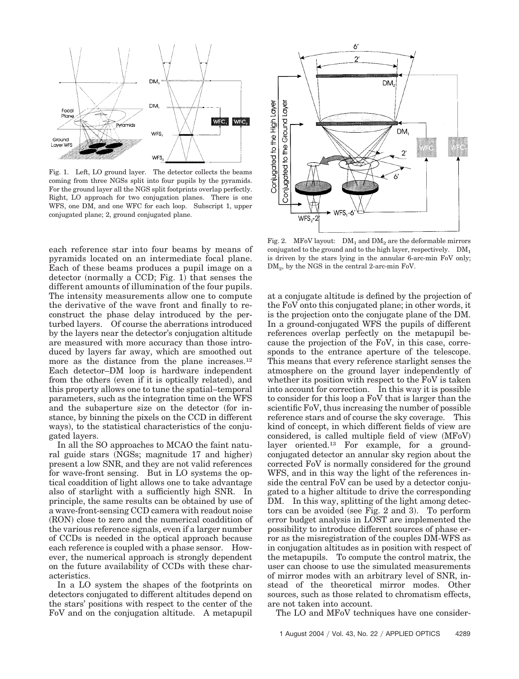

Fig. 1. Left, LO ground layer. The detector collects the beams coming from three NGSs split into four pupils by the pyramids. For the ground layer all the NGS split footprints overlap perfectly. Right, LO approach for two conjugation planes. There is one WFS, one DM, and one WFC for each loop. Subscript 1, upper conjugated plane; 2, ground conjugated plane.

each reference star into four beams by means of pyramids located on an intermediate focal plane. Each of these beams produces a pupil image on a detector (normally a CCD; Fig. 1) that senses the different amounts of illumination of the four pupils. The intensity measurements allow one to compute the derivative of the wave front and finally to reconstruct the phase delay introduced by the perturbed layers. Of course the aberrations introduced by the layers near the detector's conjugation altitude are measured with more accuracy than those introduced by layers far away, which are smoothed out more as the distance from the plane increases.<sup>12</sup> Each detector–DM loop is hardware independent from the others (even if it is optically related), and this property allows one to tune the spatial–temporal parameters, such as the integration time on the WFS and the subaperture size on the detector (for instance, by binning the pixels on the CCD in different ways), to the statistical characteristics of the conjugated layers.

In all the SO approaches to MCAO the faint natural guide stars (NGSs; magnitude 17 and higher) present a low SNR, and they are not valid references for wave-front sensing. But in LO systems the optical coaddition of light allows one to take advantage also of starlight with a sufficiently high SNR. In principle, the same results can be obtained by use of a wave-front-sensing CCD camera with readout noise (RON) close to zero and the numerical coaddition of the various reference signals, even if a larger number of CCDs is needed in the optical approach because each reference is coupled with a phase sensor. However, the numerical approach is strongly dependent on the future availability of CCDs with these characteristics.

In a LO system the shapes of the footprints on detectors conjugated to different altitudes depend on the stars' positions with respect to the center of the FoV and on the conjugation altitude. A metapupil



Fig. 2. MFoV layout:  $DM_1$  and  $DM_2$  are the deformable mirrors conjugated to the ground and to the high layer, respectively.  $DM_1$ is driven by the stars lying in the annular 6-arc-min FoV only; DM<sub>2</sub>, by the NGS in the central 2-arc-min FoV.

at a conjugate altitude is defined by the projection of the FoV onto this conjugated plane; in other words, it is the projection onto the conjugate plane of the DM. In a ground-conjugated WFS the pupils of different references overlap perfectly on the metapupil because the projection of the FoV, in this case, corresponds to the entrance aperture of the telescope. This means that every reference starlight senses the atmosphere on the ground layer independently of whether its position with respect to the FoV is taken into account for correction. In this way it is possible to consider for this loop a FoV that is larger than the scientific FoV, thus increasing the number of possible reference stars and of course the sky coverage. This kind of concept, in which different fields of view are considered, is called multiple field of view  $(MFoV)$ layer oriented.13 For example, for a groundconjugated detector an annular sky region about the corrected FoV is normally considered for the ground WFS, and in this way the light of the references inside the central FoV can be used by a detector conjugated to a higher altitude to drive the corresponding DM. In this way, splitting of the light among detectors can be avoided (see Fig.  $2$  and  $3$ ). To perform error budget analysis in LOST are implemented the possibility to introduce different sources of phase error as the misregistration of the couples DM-WFS as in conjugation altitudes as in position with respect of the metapupils. To compute the control matrix, the user can choose to use the simulated measurements of mirror modes with an arbitrary level of SNR, instead of the theoretical mirror modes. Other sources, such as those related to chromatism effects, are not taken into account.

The LO and MFoV techniques have one consider-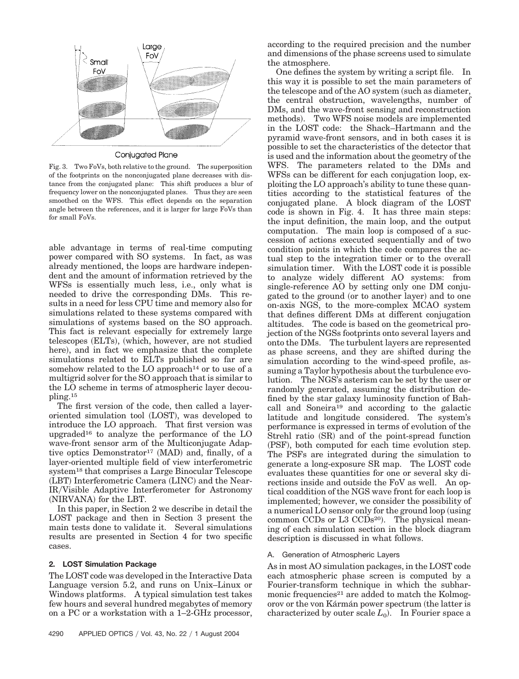

## Conjugated Plane

Fig. 3. Two FoVs, both relative to the ground. The superposition of the footprints on the nonconjugated plane decreases with distance from the conjugated plane: This shift produces a blur of frequency lower on the nonconjugated planes. Thus they are seen smoothed on the WFS. This effect depends on the separation angle between the references, and it is larger for large FoVs than for small FoVs.

able advantage in terms of real-time computing power compared with SO systems. In fact, as was already mentioned, the loops are hardware independent and the amount of information retrieved by the WFSs is essentially much less, i.e., only what is needed to drive the corresponding DMs. This results in a need for less CPU time and memory also for simulations related to these systems compared with simulations of systems based on the SO approach. This fact is relevant especially for extremely large telescopes (ELTs), (which, however, are not studied here), and in fact we emphasize that the complete simulations related to ELTs published so far are somehow related to the LO approach<sup>14</sup> or to use of a multigrid solver for the SO approach that is similar to the LO scheme in terms of atmospheric layer decoupling.15

The first version of the code, then called a layeroriented simulation tool (LOST), was developed to introduce the LO approach. That first version was upgraded<sup>16</sup> to analyze the performance of the  $LO$ wave-front sensor arm of the Multiconjugate Adaptive optics Demonstrator<sup>17</sup> (MAD) and, finally, of a layer-oriented multiple field of view interferometric system18 that comprises a Large Binocular Telescope (LBT) Interferometric Camera (LINC) and the Near-IRVisible Adaptive Interferometer for Astronomy (NIRVANA) for the LBT.

In this paper, in Section 2 we describe in detail the LOST package and then in Section 3 present the main tests done to validate it. Several simulations results are presented in Section 4 for two specific cases.

## **2. LOST Simulation Package**

The LOST code was developed in the Interactive Data Language version 5.2, and runs on Unix–Linux or Windows platforms. A typical simulation test takes few hours and several hundred megabytes of memory on a PC or a workstation with a 1–2-GHz processor,

according to the required precision and the number and dimensions of the phase screens used to simulate the atmosphere.

One defines the system by writing a script file. In this way it is possible to set the main parameters of the telescope and of the AO system (such as diameter, the central obstruction, wavelengths, number of DMs, and the wave-front sensing and reconstruction methods). Two WFS noise models are implemented in the LOST code: the Shack–Hartmann and the pyramid wave-front sensors, and in both cases it is possible to set the characteristics of the detector that is used and the information about the geometry of the WFS. The parameters related to the DMs and WFSs can be different for each conjugation loop, exploiting the LO approach's ability to tune these quantities according to the statistical features of the conjugated plane. A block diagram of the LOST code is shown in Fig. 4. It has three main steps: the input definition, the main loop, and the output computation. The main loop is composed of a succession of actions executed sequentially and of two condition points in which the code compares the actual step to the integration timer or to the overall simulation timer. With the LOST code it is possible to analyze widely different AO systems: from single-reference AO by setting only one DM conjugated to the ground (or to another layer) and to one on-axis NGS, to the more-complex MCAO system that defines different DMs at different conjugation altitudes. The code is based on the geometrical projection of the NGSs footprints onto several layers and onto the DMs. The turbulent layers are represented as phase screens, and they are shifted during the simulation according to the wind-speed profile, assuming a Taylor hypothesis about the turbulence evolution. The NGS's asterism can be set by the user or randomly generated, assuming the distribution defined by the star galaxy luminosity function of Bahcall and Soneira19 and according to the galactic latitude and longitude considered. The system's performance is expressed in terms of evolution of the Strehl ratio (SR) and of the point-spread function (PSF), both computed for each time evolution step. The PSFs are integrated during the simulation to generate a long-exposure SR map. The LOST code evaluates these quantities for one or several sky directions inside and outside the FoV as well. An optical coaddition of the NGS wave front for each loop is implemented; however, we consider the possibility of a numerical LO sensor only for the ground loop (using common CCDs or L3 CCDs<sup>20</sup>). The physical meaning of each simulation section in the block diagram description is discussed in what follows.

## A. Generation of Atmospheric Layers

As in most AO simulation packages, in the LOST code each atmospheric phase screen is computed by a Fourier-transform technique in which the subharmonic frequencies<sup>21</sup> are added to match the Kolmogorov or the von Kármán power spectrum (the latter is  $\alpha$  characterized by outer scale  $L_0$ ). In Fourier space a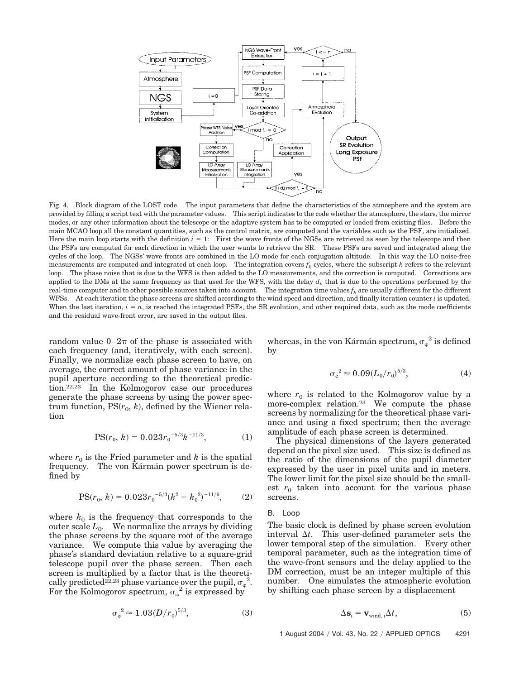

Fig. 4. Block diagram of the LOST code. The input parameters that define the characteristics of the atmosphere and the system are provided by filling a script text with the parameter values. This script indicates to the code whether the atmosphere, the stars, the mirror modes, or any other information about the telescope or the adaptive system has to be computed or loaded from existing files. Before the main MCAO loop all the constant quantities, such as the control matrix, are computed and the variables such as the PSF, are initialized. Here the main loop starts with the definition  $i = 1$ : First the wave fronts of the NGSs are retrieved as seen by the telescope and then the PSFs are computed for each direction in which the user wants to retrieve the SR. These PSFs are saved and integrated along the cycles of the loop. The NGSs' wave fronts are combined in the LO mode for each conjugation altitude. In this way the LO noise-free measurements are computed and integrated at each loop. The integration covers  $f_k$  cycles, where the subscript  $k$  refers to the relevant loop. The phase noise that is due to the WFS is then added to the LO measurements, and the correction is computed. Corrections are applied to the DMs at the same frequency as that used for the WFS, with the delay  $d_k$  that is due to the operations performed by the real-time computer and to other possible sources taken into account. The integration time values  $f_k$  are usually different for the different WFSs. At each iteration the phase screens are shifted according to the wind speed and direction, and finally iteration counter *i* is updated. When the last iteration,  $i = n$ , is reached the integrated PSFs, the SR evolution, and other required data, such as the mode coefficients and the residual wave-front error, are saved in the output files.

random value  $0-2\pi$  of the phase is associated with each frequency (and, iteratively, with each screen). Finally, we normalize each phase screen to have, on average, the correct amount of phase variance in the pupil aperture according to the theoretical prediction.22,23 In the Kolmogorov case our procedures generate the phase screens by using the power spec $trum function, PS(r_0, k)$ , defined by the Wiener relation

$$
PS(r_0, k) = 0.023r_0^{-5/3}k^{-11/3}, \tag{1}
$$

where  $r_0$  is the Fried parameter and  $k$  is the spatial frequency. The von Kármán power spectrum is defined by

$$
PS(r_0, k) = 0.023r_0^{-5/3}(k^2 + k_0^2)^{-11/6}, \tag{2}
$$

where  $k_0$  is the frequency that corresponds to the outer scale  $L_0$ . We normalize the arrays by dividing the phase screens by the square root of the average variance. We compute this value by averaging the phase's standard deviation relative to a square-grid telescope pupil over the phase screen. Then each screen is multiplied by a factor that is the theoretically predicted<sup>22,23</sup> phase variance over the pupil,  $\sigma_{\varphi}^2$ . For the Kolmogorov spectrum,  $\sigma_{\varphi}^2$  is expressed by

$$
\sigma_{\varphi}^{2} \approx 1.03(D/r_0)^{5/3},\tag{3}
$$

whereas, in the von Kármán spectrum,  $\sigma_{\varphi}^{-2}$  is defined by

$$
\sigma_{\varphi}^{2} \approx 0.09 (L_0/r_0)^{5/3},\tag{4}
$$

where  $r_0$  is related to the Kolmogorov value by a more-complex relation.23 We compute the phase screens by normalizing for the theoretical phase variance and using a fixed spectrum; then the average amplitude of each phase screen is determined.

The physical dimensions of the layers generated depend on the pixel size used. This size is defined as the ratio of the dimensions of the pupil diameter expressed by the user in pixel units and in meters. The lower limit for the pixel size should be the smallest  $r_0$  taken into account for the various phase screens.

B. Loop

The basic clock is defined by phase screen evolution interval  $\Delta t$ . This user-defined parameter sets the lower temporal step of the simulation. Every other temporal parameter, such as the integration time of the wave-front sensors and the delay applied to the DM correction, must be an integer multiple of this number. One simulates the atmospheric evolution by shifting each phase screen by a displacement

$$
\Delta \mathbf{s}_i = \mathbf{v}_{\text{wind},i} \Delta t,\tag{5}
$$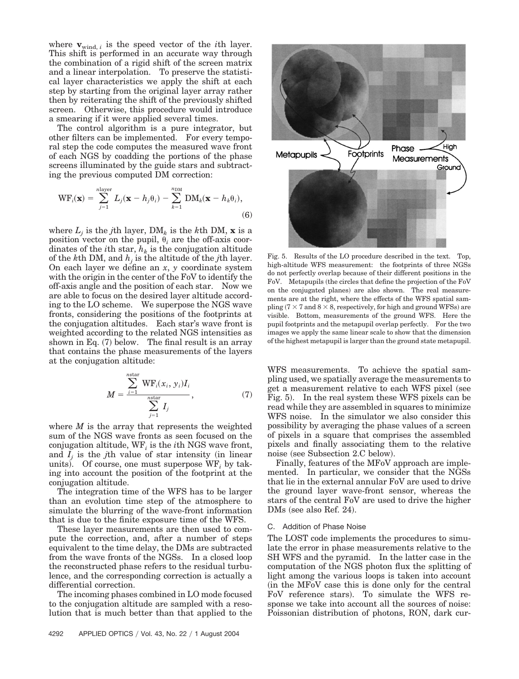where  $\mathbf{v}_{\text{wind}, i}$  is the speed vector of the *i*th layer. This shift is performed in an accurate way through the combination of a rigid shift of the screen matrix and a linear interpolation. To preserve the statistical layer characteristics we apply the shift at each step by starting from the original layer array rather then by reiterating the shift of the previously shifted screen. Otherwise, this procedure would introduce a smearing if it were applied several times.

The control algorithm is a pure integrator, but other filters can be implemented. For every temporal step the code computes the measured wave front of each NGS by coadding the portions of the phase screens illuminated by the guide stars and subtracting the previous computed DM correction:

$$
\text{WF}_i(\mathbf{x}) = \sum_{j=1}^{n\text{layer}} L_j(\mathbf{x} - h_j\theta_i) - \sum_{k=1}^{n\text{DM}} \text{DM}_k(\mathbf{x} - h_k\theta_i),
$$
\n(6)

where  $L_j$  is the *j*th layer,  $DM_k$  is the *k*th  $DM$ , **x** is a position vector on the pupil,  $\theta_i$  are the off-axis coordinates of the *i*<sup>th</sup> star,  $h_k$  is the conjugation altitude of the  $k$ th DM, and  $h_i$  is the altitude of the *j*th layer. On each layer we define an *x*, *y* coordinate system with the origin in the center of the FoV to identify the off-axis angle and the position of each star. Now we are able to focus on the desired layer altitude according to the LO scheme. We superpose the NGS wave fronts, considering the positions of the footprints at the conjugation altitudes. Each star's wave front is weighted according to the related NGS intensities as shown in Eq. (7) below. The final result is an array that contains the phase measurements of the layers at the conjugation altitude:

$$
M = \frac{\sum_{i=1}^{n\text{star}} \text{WF}_i(x_i, y_i) I_i}{\sum_{j=1}^{n\text{star}} I_j}, \tag{7}
$$

where *M* is the array that represents the weighted sum of the NGS wave fronts as seen focused on the conjugation altitude, WF*<sup>i</sup>* is the *i*th NGS wave front, and  $I_j$  is the *j*th value of star intensity (in linear units). Of course, one must superpose  $WF_i$  by taking into account the position of the footprint at the conjugation altitude.

The integration time of the WFS has to be larger than an evolution time step of the atmosphere to simulate the blurring of the wave-front information that is due to the finite exposure time of the WFS.

These layer measurements are then used to compute the correction, and, after a number of steps equivalent to the time delay, the DMs are subtracted from the wave fronts of the NGSs. In a closed loop the reconstructed phase refers to the residual turbulence, and the corresponding correction is actually a differential correction.

The incoming phases combined in LO mode focused to the conjugation altitude are sampled with a resolution that is much better than that applied to the



Fig. 5. Results of the LO procedure described in the text. Top, high-altitude WFS measurement: the footprints of three NGSs do not perfectly overlap because of their different positions in the FoV. Metapupils (the circles that define the projection of the FoV on the conjugated planes) are also shown. The real measurements are at the right, where the effects of the WFS spatial sampling ( $7 \times 7$  and  $8 \times 8$ , respectively, for high and ground WFSs) are visible. Bottom, measurements of the ground WFS. Here the pupil footprints and the metapupil overlap perfectly. For the two images we apply the same linear scale to show that the dimension of the highest metapupil is larger than the ground state metapupil.

WFS measurements. To achieve the spatial sampling used, we spatially average the measurements to get a measurement relative to each WFS pixel (see Fig. 5). In the real system these WFS pixels can be read while they are assembled in squares to minimize WFS noise. In the simulator we also consider this possibility by averaging the phase values of a screen of pixels in a square that comprises the assembled pixels and finally associating them to the relative noise (see Subsection 2.C below).

Finally, features of the MFoV approach are implemented. In particular, we consider that the NGSs that lie in the external annular FoV are used to drive the ground layer wave-front sensor, whereas the stars of the central FoV are used to drive the higher  $DMs$  (see also Ref. 24).

#### C. Addition of Phase Noise

The LOST code implements the procedures to simulate the error in phase measurements relative to the SH WFS and the pyramid. In the latter case in the computation of the NGS photon flux the splitting of light among the various loops is taken into account in the MFoV case this is done only for the central FoV reference stars). To simulate the WFS response we take into account all the sources of noise: Poissonian distribution of photons, RON, dark cur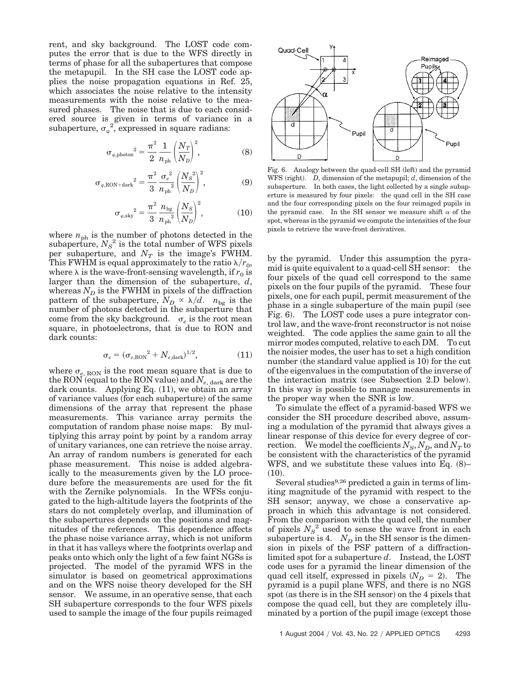rent, and sky background. The LOST code computes the error that is due to the WFS directly in terms of phase for all the subapertures that compose the metapupil. In the SH case the LOST code applies the noise propagation equations in Ref. 25, which associates the noise relative to the intensity measurements with the noise relative to the measured phases. The noise that is due to each considered source is given in terms of variance in a subaperture,  $\sigma_{\varphi}^{2}$ , expressed in square radians:

$$
\sigma_{\varphi,\text{photon}}^2 = \frac{\pi^2}{2} \frac{1}{n_{\text{ph}}} \left(\frac{N_T}{N_D}\right)^2,\tag{8}
$$

$$
\sigma_{\varphi, \text{RON+dark}}^2 = \frac{\pi^2}{3} \frac{{\sigma_e}^2}{n_{\text{ph}}^2} \left(\frac{N_S^2}{N_D}\right)^2, \tag{9}
$$

$$
\sigma_{\varphi, \text{sky}}^2 = \frac{\pi^2}{3} \frac{n_{\text{bg}}}{n_{\text{ph}}^2} \left(\frac{N_S}{N_D}\right)^2, \tag{10}
$$

where  $n_{\text{ph}}$  is the number of photons detected in the subaperture,  $N_S^2$  is the total number of WFS pixels per subaperture, and  $N_T$  is the image's FWHM. This FWHM is equal approximately to the ratio  $\lambda/r_0$ , where  $\lambda$  is the wave-front-sensing wavelength, if  $r_0$  is larger than the dimension of the subaperture, *d*, whereas  $N_D$  is the FWHM in pixels of the diffraction pattern of the subaperture,  $N_D \propto \lambda/d$ .  $n_{bg}$  is the number of photons detected in the subaperture that come from the sky background.  $\sigma$ <sub>c</sub> is the root mean square, in photoelectrons, that is due to RON and dark counts:

$$
\sigma_e = (\sigma_{e,\text{RON}}^2 + N_{e,\text{dark}})^{1/2},\tag{11}
$$

where  $\sigma_{e, \text{RON}}$  is the root mean square that is due to the RON (equal to the RON value) and  $N_{e,\, \mathrm{dark}}$  are the dark counts. Applying Eq.  $(11)$ , we obtain an array of variance values (for each subaperture) of the same dimensions of the array that represent the phase measurements. This variance array permits the computation of random phase noise maps: By multiplying this array point by point by a random array of unitary variances, one can retrieve the noise array. An array of random numbers is generated for each phase measurement. This noise is added algebraically to the measurements given by the LO procedure before the measurements are used for the fit with the Zernike polynomials. In the WFSs conjugated to the high-altitude layers the footprints of the stars do not completely overlap, and illumination of the subapertures depends on the positions and magnitudes of the references. This dependence affects the phase noise variance array, which is not uniform in that it has valleys where the footprints overlap and peaks onto which only the light of a few faint NGSs is projected. The model of the pyramid WFS in the simulator is based on geometrical approximations and on the WFS noise theory developed for the SH sensor. We assume, in an operative sense, that each SH subaperture corresponds to the four WFS pixels used to sample the image of the four pupils reimaged



Fig. 6. Analogy between the quad-cell SH (left) and the pyramid WFS (right).  $D$ , dimension of the metapupil;  $d$ , dimension of the subaperture. In both cases, the light collected by a single subaperture is measured by four pixels: the quad cell in the SH case and the four corresponding pixels on the four reimaged pupils in the pyramid case. In the SH sensor we measure shift  $\alpha$  of the spot, whereas in the pyramid we compute the intensities of the four pixels to retrieve the wave-front derivatives.

by the pyramid. Under this assumption the pyramid is quite equivalent to a quad-cell SH sensor: the four pixels of the quad cell correspond to the same pixels on the four pupils of the pyramid. These four pixels, one for each pupil, permit measurement of the phase in a single subaperture of the main pupil (see Fig. 6). The LOST code uses a pure integrator control law, and the wave-front reconstructor is not noise weighted. The code applies the same gain to all the mirror modes computed, relative to each DM. To cut the noisier modes, the user has to set a high condition number (the standard value applied is 10) for the cut of the eigenvalues in the computation of the inverse of the interaction matrix (see Subsection 2.D below). In this way is possible to manage measurements in the proper way when the SNR is low.

To simulate the effect of a pyramid-based WFS we consider the SH procedure described above, assuming a modulation of the pyramid that always gives a linear response of this device for every degree of correction. We model the coefficients  $N_S$ ,  $N_D$ , and  $N_T$  to be consistent with the characteristics of the pyramid WFS, and we substitute these values into Eq.  $(8)$ –  $(10).$ 

Several studies<sup>9,26</sup> predicted a gain in terms of limiting magnitude of the pyramid with respect to the SH sensor; anyway, we chose a conservative approach in which this advantage is not considered. From the comparison with the quad cell, the number of pixels  $N_S^2$  used to sense the wave front in each subaperture is 4.  $N_D$  in the SH sensor is the dimension in pixels of the PSF pattern of a diffractionlimited spot for a subaperture *d*. Instead, the LOST code uses for a pyramid the linear dimension of the quad cell itself, expressed in pixels  $(N_D = 2)$ . The pyramid is a pupil plane WFS, and there is no NGS spot (as there is in the SH sensor) on the 4 pixels that compose the quad cell, but they are completely illuminated by a portion of the pupil image (except those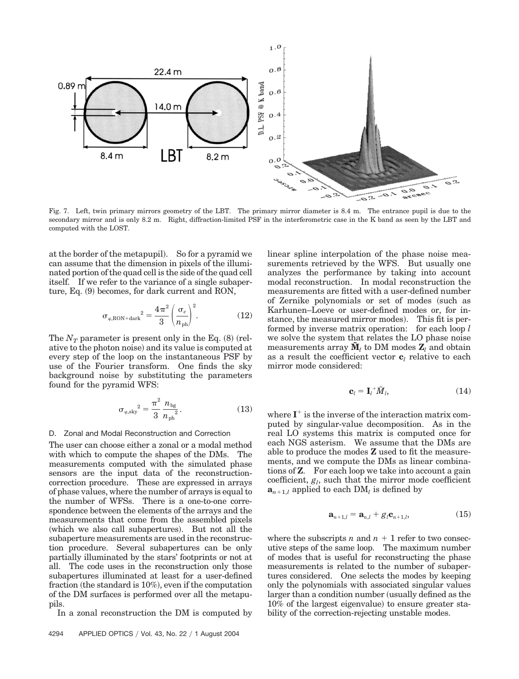

Fig. 7. Left, twin primary mirrors geometry of the LBT. The primary mirror diameter is 8.4 m. The entrance pupil is due to the secondary mirror and is only 8.2 m. Right, diffraction-limited PSF in the interferometric case in the K band as seen by the LBT and computed with the LOST.

at the border of the metapupil). So for a pyramid we can assume that the dimension in pixels of the illuminated portion of the quad cell is the side of the quad cell itself. If we refer to the variance of a single subaperture, Eq. (9) becomes, for dark current and RON,

$$
\sigma_{\varphi, \text{RON} + \text{dark}}^2 = \frac{4\pi^2}{3} \left(\frac{\sigma_e}{n_{\text{ph}}}\right)^2. \tag{12}
$$

The  $N_T$  parameter is present only in the Eq.  $(8)$  (relative to the photon noise) and its value is computed at every step of the loop on the instantaneous PSF by use of the Fourier transform. One finds the sky background noise by substituting the parameters found for the pyramid WFS:

$$
\sigma_{\varphi, \text{sky}}^2 = \frac{\pi^2}{3} \frac{n_{\text{bg}}}{n_{\text{ph}}^2}.
$$
 (13)

#### D. Zonal and Modal Reconstruction and Correction

The user can choose either a zonal or a modal method with which to compute the shapes of the DMs. The measurements computed with the simulated phase sensors are the input data of the reconstructioncorrection procedure. These are expressed in arrays of phase values, where the number of arrays is equal to the number of WFSs. There is a one-to-one correspondence between the elements of the arrays and the measurements that come from the assembled pixels (which we also call subapertures). But not all the subaperture measurements are used in the reconstruction procedure. Several subapertures can be only partially illuminated by the stars' footprints or not at all. The code uses in the reconstruction only those subapertures illuminated at least for a user-defined fraction (the standard is  $10\%)$ , even if the computation of the DM surfaces is performed over all the metapupils.

In a zonal reconstruction the DM is computed by

linear spline interpolation of the phase noise measurements retrieved by the WFS. But usually one analyzes the performance by taking into account modal reconstruction. In modal reconstruction the measurements are fitted with a user-defined number of Zernike polynomials or set of modes (such as Karhunen–Loeve or user-defined modes or, for instance, the measured mirror modes). This fit is performed by inverse matrix operation: for each loop *l* we solve the system that relates the LO phase noise measurements array  $\mathbf{M}_l$  to DM modes  $\mathbf{Z}_l$  and obtain as a result the coefficient vector  $\mathbf{c}_i$  relative to each mirror mode considered:

$$
\mathbf{c}_l = \mathbf{I}_l^+ \tilde{M}_l,\tag{14}
$$

where  $I^+$  is the inverse of the interaction matrix computed by singular-value decomposition. As in the real LO systems this matrix is computed once for each NGS asterism. We assume that the DMs are able to produce the modes **Z** used to fit the measurements, and we compute the DMs as linear combinations of **Z**. For each loop we take into account a gain coefficient,  $g_l$ , such that the mirror mode coefficient  $\mathbf{a}_{n+1,l}$  applied to each  $\text{DM}_l$  is defined by

$$
\mathbf{a}_{n+1,l} = \mathbf{a}_{n,l} + g_l \mathbf{c}_{n+1,l},\tag{15}
$$

where the subscripts *n* and  $n + 1$  refer to two consecutive steps of the same loop. The maximum number of modes that is useful for reconstructing the phase measurements is related to the number of subapertures considered. One selects the modes by keeping only the polynomials with associated singular values larger than a condition number (usually defined as the  $10\%$  of the largest eigenvalue) to ensure greater stability of the correction-rejecting unstable modes.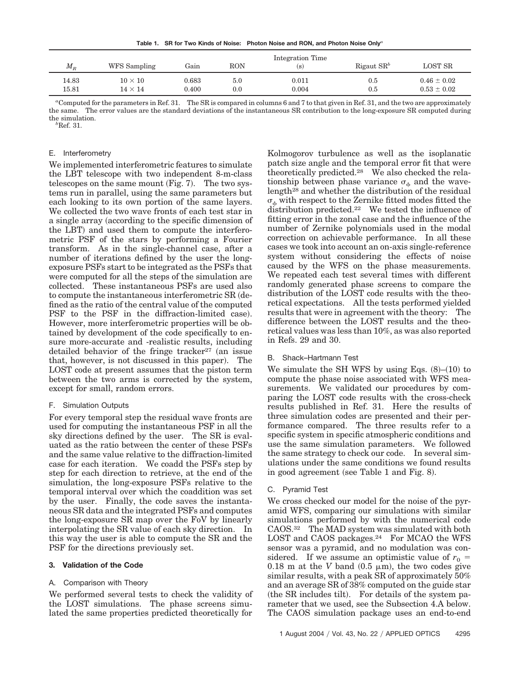**Table 1. SR for Two Kinds of Noise: Photon Noise and RON, and Photon Noise Only***<sup>a</sup>*

| $M_{\scriptscriptstyle R}$ | WFS Sampling | Gain  | RON     | Integration Time<br>(s) | Rigaut $\text{SR}^b$ | LOST SR         |
|----------------------------|--------------|-------|---------|-------------------------|----------------------|-----------------|
| 14.83                      | $10\times10$ | 0.683 | $5.0\,$ | 0.011                   | 0.5                  | $0.46 \pm 0.02$ |
| 15.81                      | $14\times14$ | 0.400 | 0.0     | 0.004                   | 0.5                  | $0.53 \pm 0.02$ |

*a* Computed for the parameters in Ref. 31. The SR is compared in columns 6 and 7 to that given in Ref. 31, and the two are approximately the same. The error values are the standard deviations of the instantaneous SR contribution to the long-exposure SR computed during the simulation. *<sup>b</sup>*

 ${}^{b}$ Ref. 31.

## E. Interferometry

We implemented interferometric features to simulate the LBT telescope with two independent 8-m-class telescopes on the same mount (Fig. 7). The two systems run in parallel, using the same parameters but each looking to its own portion of the same layers. We collected the two wave fronts of each test star in a single array (according to the specific dimension of the LBT) and used them to compute the interferometric PSF of the stars by performing a Fourier transform. As in the single-channel case, after a number of iterations defined by the user the longexposure PSFs start to be integrated as the PSFs that were computed for all the steps of the simulation are collected. These instantaneous PSFs are used also to compute the instantaneous interferometric SR defined as the ratio of the central value of the computed PSF to the PSF in the diffraction-limited case). However, more interferometric properties will be obtained by development of the code specifically to ensure more-accurate and -realistic results, including detailed behavior of the fringe tracker<sup>27</sup> (an issue that, however, is not discussed in this paper). The LOST code at present assumes that the piston term between the two arms is corrected by the system, except for small, random errors.

## F. Simulation Outputs

For every temporal step the residual wave fronts are used for computing the instantaneous PSF in all the sky directions defined by the user. The SR is evaluated as the ratio between the center of these PSFs and the same value relative to the diffraction-limited case for each iteration. We coadd the PSFs step by step for each direction to retrieve, at the end of the simulation, the long-exposure PSFs relative to the temporal interval over which the coaddition was set by the user. Finally, the code saves the instantaneous SR data and the integrated PSFs and computes the long-exposure SR map over the FoV by linearly interpolating the SR value of each sky direction. In this way the user is able to compute the SR and the PSF for the directions previously set.

## **3. Validation of the Code**

# A. Comparison with Theory

We performed several tests to check the validity of the LOST simulations. The phase screens simulated the same properties predicted theoretically for Kolmogorov turbulence as well as the isoplanatic patch size angle and the temporal error fit that were theoretically predicted.28 We also checked the relationship between phase variance  $\sigma_{\phi}$  and the wavelength28 and whether the distribution of the residual  $\sigma_{\phi}$  with respect to the Zernike fitted modes fitted the distribution predicted.22 We tested the influence of fitting error in the zonal case and the influence of the number of Zernike polynomials used in the modal correction on achievable performance. In all these cases we took into account an on-axis single-reference system without considering the effects of noise caused by the WFS on the phase measurements. We repeated each test several times with different randomly generated phase screens to compare the distribution of the LOST code results with the theoretical expectations. All the tests performed yielded results that were in agreement with the theory: The difference between the LOST results and the theoretical values was less than 10%, as was also reported in Refs. 29 and 30.

# B. Shack–Hartmann Test

We simulate the SH WFS by using Eqs.  $(8)$ – $(10)$  to compute the phase noise associated with WFS measurements. We validated our procedures by comparing the LOST code results with the cross-check results published in Ref. 31. Here the results of three simulation codes are presented and their performance compared. The three results refer to a specific system in specific atmospheric conditions and use the same simulation parameters. We followed the same strategy to check our code. In several simulations under the same conditions we found results in good agreement (see Table 1 and Fig. 8).

# C. Pyramid Test

We cross checked our model for the noise of the pyramid WFS, comparing our simulations with similar simulations performed by with the numerical code CAOS.32 The MAD system was simulated with both LOST and CAOS packages.<sup>24</sup> For MCAO the WFS sensor was a pyramid, and no modulation was considered. If we assume an optimistic value of  $r_0 =$  $0.18$  m at the *V* band  $(0.5 \mu m)$ , the two codes give similar results, with a peak SR of approximately 50% and an average SR of 38% computed on the guide star (the SR includes tilt). For details of the system parameter that we used, see the Subsection 4.A below. The CAOS simulation package uses an end-to-end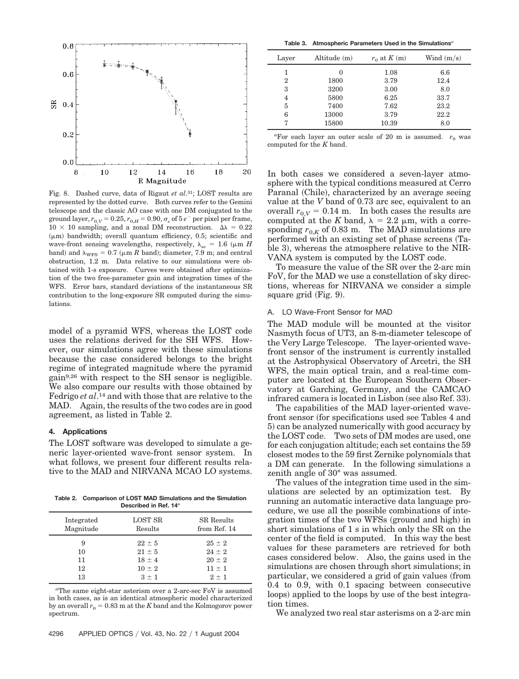

Fig. 8. Dashed curve, data of Rigaut *et al*.31; LOST results are represented by the dotted curve. Both curves refer to the Gemini telescope and the classic AO case with one DM conjugated to the ground layer,  $r_{0,V} = 0.25$ ,  $r_{0,H} = 0.90$ ,  $\sigma_e$  of 5  $e^-$  per pixel per frame,  $10 \times 10$  sampling, and a zonal DM reconstruction.  $\Delta \lambda = 0.22$  $(\mu m)$  bandwidth; overall quantum efficiency, 0.5; scientific and wave-front sensing wavelengths, respectively,  $\lambda_{\rm sc} = 1.6$  ( $\mu$ m *H* band) and  $\lambda_{\text{WFS}} = 0.7$  ( $\mu$ m *R* band); diameter, 7.9 m; and central obstruction, 1.2 m. Data relative to our simulations were obtained with 1-s exposure. Curves were obtained after optimization of the two free-parameter gain and integration times of the WFS. Error bars, standard deviations of the instantaneous SR contribution to the long-exposure SR computed during the simulations.

model of a pyramid WFS, whereas the LOST code uses the relations derived for the SH WFS. However, our simulations agree with these simulations because the case considered belongs to the bright regime of integrated magnitude where the pyramid gain9,26 with respect to the SH sensor is negligible. We also compare our results with those obtained by Fedrigo *et al*.14 and with those that are relative to the MAD. Again, the results of the two codes are in good agreement, as listed in Table 2.

#### **4. Applications**

The LOST software was developed to simulate a generic layer-oriented wave-front sensor system. In what follows, we present four different results relative to the MAD and NIRVANA MCAO LO systems.

**Table 2. Comparison of LOST MAD Simulations and the Simulation Described in Ref. 14***<sup>a</sup>*

| Integrated<br>Magnitude | <b>LOST SR</b><br>Results | <b>SR</b> Results<br>from Ref. 14 |
|-------------------------|---------------------------|-----------------------------------|
| 9                       | $22 \pm 5$                | $25 \pm 2$                        |
| 10                      | $21 \pm 5$                | $24 + 2$                          |
| 11                      | $18 \pm 4$                | $20 \pm 2$                        |
| 12                      | $10 \pm 2$                | $11 \pm 1$                        |
| 13                      | $3 + 1$                   | $2 + 1$                           |
|                         |                           |                                   |

*a* The same eight-star asterism over a 2-arc-sec FoV is assumed in both cases, as is an identical atmospheric model characterized by an overall  $r_0 = 0.83$  m at the *K* band and the Kolmogorov power spectrum.

**Table 3. Atmospheric Parameters Used in the Simulations***<sup>a</sup>*

| Layer | Altitude (m) | $r_0$ at $K(m)$ | Wind $(m/s)$ |
|-------|--------------|-----------------|--------------|
| 1     | $\Omega$     | 1.08            | 6.6          |
| 2     | 1800         | 3.79            | 12.4         |
| 3     | 3200         | 3.00            | 8.0          |
| 4     | 5800         | 6.25            | 33.7         |
| 5     | 7400         | 7.62            | 23.2         |
| 6     | 13000        | 3.79            | 22.2         |
| 7     | 15800        | 10.39           | 8.0          |

 ${}^{a}$ For each layer an outer scale of 20 m is assumed.  $r_0$  was computed for the *K* band.

In both cases we considered a seven-layer atmosphere with the typical conditions measured at Cerro Paranal (Chile), characterized by an average seeing value at the *V* band of 0.73 arc sec, equivalent to an overall  $r_{0,V} = 0.14$  m. In both cases the results are computed at the K band,  $\lambda = 2.2 \mu m$ , with a corresponding  $r_{0,K}$  of 0.83 m. The MAD simulations are performed with an existing set of phase screens Table 3), whereas the atmosphere relative to the NIR-VANA system is computed by the LOST code.

To measure the value of the SR over the 2-arc min FoV, for the MAD we use a constellation of sky directions, whereas for NIRVANA we consider a simple square grid (Fig. 9).

#### A. LO Wave-Front Sensor for MAD

The MAD module will be mounted at the visitor Nasmyth focus of UT3, an 8-m-diameter telescope of the Very Large Telescope. The layer-oriented wavefront sensor of the instrument is currently installed at the Astrophysical Observatory of Arcetri, the SH WFS, the main optical train, and a real-time computer are located at the European Southern Observatory at Garching, Germany, and the CAMCAO infrared camera is located in Lisbon (see also Ref. 33).

The capabilities of the MAD layer-oriented wavefront sensor (for specifications used see Tables 4 and 5) can be analyzed numerically with good accuracy by the LOST code. Two sets of DM modes are used, one for each conjugation altitude; each set contains the 59 closest modes to the 59 first Zernike polynomials that a DM can generate. In the following simulations a zenith angle of 30° was assumed.

The values of the integration time used in the simulations are selected by an optimization test. By running an automatic interactive data language procedure, we use all the possible combinations of integration times of the two WFSs (ground and high) in short simulations of 1 s in which only the SR on the center of the field is computed. In this way the best values for these parameters are retrieved for both cases considered below. Also, the gains used in the simulations are chosen through short simulations; in particular, we considered a grid of gain values from 0.4 to 0.9, with 0.1 spacing between consecutive loops) applied to the loops by use of the best integration times.

We analyzed two real star asterisms on a 2-arc min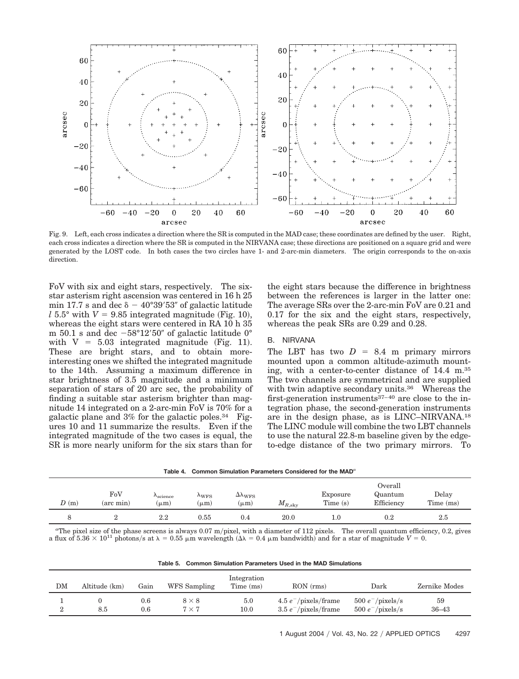

Fig. 9. Left, each cross indicates a direction where the SR is computed in the MAD case; these coordinates are defined by the user. Right, each cross indicates a direction where the SR is computed in the NIRVANA case; these directions are positioned on a square grid and were generated by the LOST code. In both cases the two circles have 1- and 2-arc-min diameters. The origin corresponds to the on-axis direction.

FoV with six and eight stars, respectively. The sixstar asterism right ascension was centered in 16 h 25 min 17.7 s and dec  $\delta - 40^{\circ}39'53''$  of galactic latitude  $l$  5.5° with  $V = 9.85$  integrated magnitude (Fig. 10), whereas the eight stars were centered in RA 10 h 35 m 50.1 s and dec  $-58^{\circ}12'50''$  of galactic latitude 0° with  $V = 5.03$  integrated magnitude (Fig. 11). These are bright stars, and to obtain moreinteresting ones we shifted the integrated magnitude to the 14th. Assuming a maximum difference in star brightness of 3.5 magnitude and a minimum separation of stars of 20 arc sec, the probability of finding a suitable star asterism brighter than magnitude 14 integrated on a 2-arc-min FoV is 70% for a galactic plane and  $3\%$  for the galactic poles.<sup>34</sup> Figures 10 and 11 summarize the results. Even if the integrated magnitude of the two cases is equal, the SR is more nearly uniform for the six stars than for

the eight stars because the difference in brightness between the references is larger in the latter one: The average SRs over the 2-arc-min FoV are 0.21 and 0.17 for the six and the eight stars, respectively, whereas the peak SRs are 0.29 and 0.28.

# B. NIRVANA

The LBT has two  $D = 8.4$  m primary mirrors mounted upon a common altitude-azimuth mounting, with a center-to-center distance of 14.4 m.35 The two channels are symmetrical and are supplied with twin adaptive secondary units.<sup>36</sup> Whereas the first-generation instruments37–40 are close to the integration phase, the second-generation instruments are in the design phase, as is LINC–NIRVANA.18 The LINC module will combine the two LBT channels to use the natural 22.8-m baseline given by the edgeto-edge distance of the two primary mirrors. To

|  | Table 4. $\,$ Common Simulation Parameters Considered for the MAD $^a$ |  |  |
|--|------------------------------------------------------------------------|--|--|
|  |                                                                        |  |  |

| D(m) | FoV<br>$(\text{arc min})$ | $\Lambda_{\rm science}$<br>$(\mu m)$ | $\Lambda$ <sub>WFS</sub><br>$(\mu m)$ | $\Delta \Lambda_{\rm WFS}$<br>$(\mu m)$ | $M_{R,\rm sky}$ | Exposure<br>Time $(s)$ | Overall<br>Quantum<br>Efficiency | Delay<br>Time (ms) |
|------|---------------------------|--------------------------------------|---------------------------------------|-----------------------------------------|-----------------|------------------------|----------------------------------|--------------------|
|      |                           | 2.2                                  | 0.55                                  | 0.4                                     | 20.0            | $1.0\,$                | 0.2                              | 2.5                |

<sup>a</sup>The pixel size of the phase screens is always 0.07 m/pixel, with a diameter of 112 pixels. The overall quantum efficiency, 0.2, gives a flux of  $5.36 \times 10^{11}$  photons/s at  $\lambda = 0.55$   $\mu$ m wavelength  $(\Delta \lambda = 0.4 \mu$ m bandwidth) and for a star of magnitude  $V = 0$ .

|  |  | Table 5. Common Simulation Parameters Used in the MAD Simulations |
|--|--|-------------------------------------------------------------------|
|--|--|-------------------------------------------------------------------|

| DM | Altitude (km) | Gain           | WFS Sampling               | Integration<br>Time (ms) | RON(rms)                                                           | Dark                                       | Zernike Modes   |
|----|---------------|----------------|----------------------------|--------------------------|--------------------------------------------------------------------|--------------------------------------------|-----------------|
|    | 8.5           | $0.6\,$<br>0.6 | $8 \times 8$<br>$7\times7$ | $5.0\,$<br>$10.0\,$      | $4.5 e^-$ /pixels/frame<br>$3.5 e^- / \text{pixels}/ \text{frame}$ | $500 e^-$ /pixels/s<br>$500 e^-$ /pixels/s | 59<br>$36 - 43$ |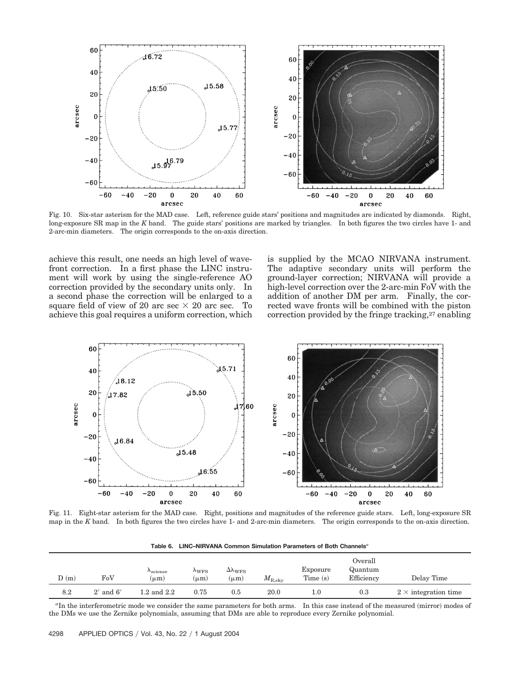

Fig. 10. Six-star asterism for the MAD case. Left, reference guide stars' positions and magnitudes are indicated by diamonds. Right, long-exposure SR map in the *K* band. The guide stars' positions are marked by triangles. In both figures the two circles have 1- and 2-arc-min diameters. The origin corresponds to the on-axis direction.

achieve this result, one needs an high level of wavefront correction. In a first phase the LINC instrument will work by using the single-reference AO correction provided by the secondary units only. In a second phase the correction will be enlarged to a square field of view of 20 arc sec  $\times$  20 arc sec. To achieve this goal requires a uniform correction, which is supplied by the MCAO NIRVANA instrument. The adaptive secondary units will perform the ground-layer correction; NIRVANA will provide a high-level correction over the 2-arc-min FoV with the addition of another DM per arm. Finally, the corrected wave fronts will be combined with the piston correction provided by the fringe tracking,  $27$  enabling



Fig. 11. Eight-star asterism for the MAD case. Right, positions and magnitudes of the reference guide stars. Left, long-exposure SR map in the *K* band. In both figures the two circles have 1- and 2-arc-min diameters. The origin corresponds to the on-axis direction.

**Table 6. LINC–NIRVANA Common Simulation Parameters of Both Channels***<sup>a</sup>*

| D(m) | FoV           | $\Lambda_{\rm science}$<br>$(\mu m)$ | $\Lambda_{WFS}$<br>$\mu$ m | $\Delta \lambda_{\rm WFS}$<br>$(\mu m)$ | $M_{\rm R, sky}$ | Exposure<br>Time $(s)$ | Overall<br>Quantum<br>Efficiency | Delay Time                  |
|------|---------------|--------------------------------------|----------------------------|-----------------------------------------|------------------|------------------------|----------------------------------|-----------------------------|
| 8.2  | $2'$ and $6'$ | $1.2$ and $2.2$                      | 0.75                       | 0.5                                     | 20.0             | $1.0\,$                | 0.3                              | $2 \times$ integration time |

<sup>a</sup>In the interferometric mode we consider the same parameters for both arms. In this case instead of the measured (mirror) modes of the DMs we use the Zernike polynomials, assuming that DMs are able to reproduce every Zernike polynomial.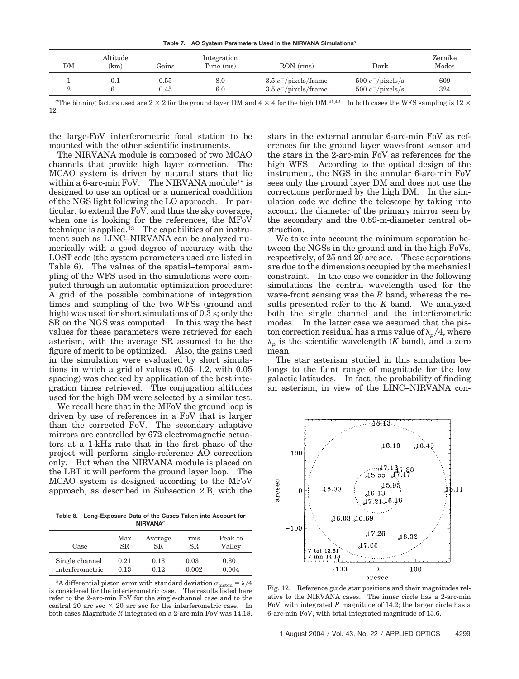**Table 7. AO System Parameters Used in the NIRVANA Simulations***<sup>a</sup>*

| DM | Altitude<br>(km) | Gains                  | Integration<br>Time (ms) | RON(rms)                                           | Dark                                       | Zernike<br>Modes |
|----|------------------|------------------------|--------------------------|----------------------------------------------------|--------------------------------------------|------------------|
|    |                  | $\rm 0.55$<br>$0.45\,$ | 8.0<br>6.0               | $3.5 e^-$ /pixels/frame<br>$3.5 e^-$ /pixels/frame | $500 e^-$ /pixels/s<br>$500 e^-$ /pixels/s | 609<br>324       |

<sup>a</sup>The binning factors used are  $2 \times 2$  for the ground layer DM and  $4 \times 4$  for the high DM.<sup>41,42</sup> In both cases the WFS sampling is  $12 \times$ 12.

the large-FoV interferometric focal station to be mounted with the other scientific instruments.

The NIRVANA module is composed of two MCAO channels that provide high layer correction. The MCAO system is driven by natural stars that lie within a 6-arc-min FoV. The NIRVANA module<sup>18</sup> is designed to use an optical or a numerical coaddition of the NGS light following the LO approach. In particular, to extend the FoV, and thus the sky coverage, when one is looking for the references, the MFoV technique is applied.<sup>13</sup> The capabilities of an instrument such as LINC–NIRVANA can be analyzed numerically with a good degree of accuracy with the LOST code (the system parameters used are listed in Table 6). The values of the spatial–temporal sampling of the WFS used in the simulations were computed through an automatic optimization procedure: A grid of the possible combinations of integration times and sampling of the two WFSs ground and high) was used for short simulations of 0.3 s; only the SR on the NGS was computed. In this way the best values for these parameters were retrieved for each asterism, with the average SR assumed to be the figure of merit to be optimized. Also, the gains used in the simulation were evaluated by short simulations in which a grid of values  $(0.05-1.2, \text{ with } 0.05)$ spacing) was checked by application of the best integration times retrieved. The conjugation altitudes used for the high DM were selected by a similar test.

We recall here that in the MFoV the ground loop is driven by use of references in a FoV that is larger than the corrected FoV. The secondary adaptive mirrors are controlled by 672 electromagnetic actuators at a 1-kHz rate that in the first phase of the project will perform single-reference AO correction only. But when the NIRVANA module is placed on the LBT it will perform the ground layer loop. The MCAO system is designed according to the MFoV approach, as described in Subsection 2.B, with the

**Table 8. Long-Exposure Data of the Cases Taken into Account for NIRVANA***<sup>a</sup>*

| Case            | Max  | Average | rms       | Peak to |
|-----------------|------|---------|-----------|---------|
|                 | SR.  | SR.     | <b>SR</b> | Valley  |
| Single channel  | 0.21 | 0.13    | 0.03      | 0.30    |
| Interferometric | 0.13 | 0.12    | 0.002     | 0.004   |

<sup>a</sup>A differential piston error with standard deviation  $\sigma_{\text{piston}} = \lambda/4$ is considered for the interferometric case. The results listed here refer to the 2-arc-min FoV for the single-channel case and to the central 20 arc sec  $\times$  20 arc sec for the interferometric case. In both cases Magnitude *R* integrated on a 2-arc-min FoV was 14.18.

stars in the external annular 6-arc-min FoV as references for the ground layer wave-front sensor and the stars in the 2-arc-min FoV as references for the high WFS. According to the optical design of the instrument, the NGS in the annular 6-arc-min FoV sees only the ground layer DM and does not use the corrections performed by the high DM. In the simulation code we define the telescope by taking into account the diameter of the primary mirror seen by the secondary and the 0.89-m-diameter central obstruction.

We take into account the minimum separation between the NGSs in the ground and in the high FoVs, respectively, of 25 and 20 arc sec. These separations are due to the dimensions occupied by the mechanical constraint. In the case we consider in the following simulations the central wavelength used for the wave-front sensing was the *R* band, whereas the results presented refer to the *K* band. We analyzed both the single channel and the interferometric modes. In the latter case we assumed that the piston correction residual has a rms value of  $\lambda_p/4$ , where  $\lambda_p$  is the scientific wavelength *(K* band), and a zero mean.

The star asterism studied in this simulation belongs to the faint range of magnitude for the low galactic latitudes. In fact, the probability of finding an asterism, in view of the LINC–NIRVANA con-



Fig. 12. Reference guide star positions and their magnitudes relative to the NIRVANA cases. The inner circle has a 2-arc-min FoV, with integrated *R* magnitude of 14.2; the larger circle has a 6-arc-min FoV, with total integrated magnitude of 13.6.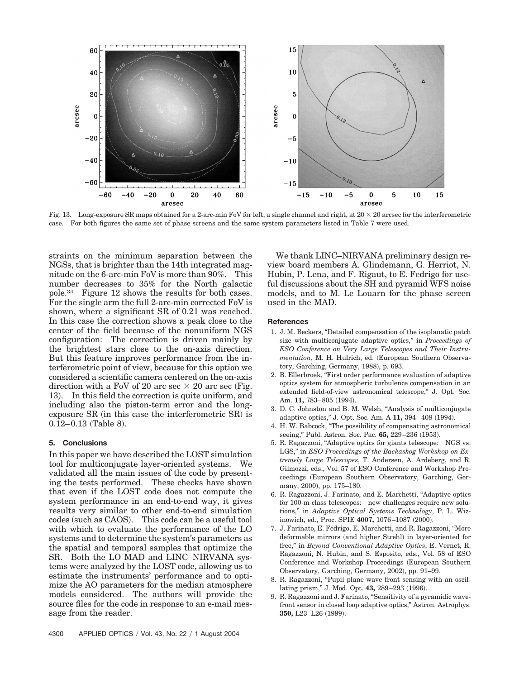

Fig. 13. Long-exposure SR maps obtained for a 2-arc-min FoV for left, a single channel and right, at  $20 \times 20$  arcsec for the interferometric case. For both figures the same set of phase screens and the same system parameters listed in Table 7 were used.

straints on the minimum separation between the NGSs, that is brighter than the 14th integrated magnitude on the 6-arc-min FoV is more than 90%. This number decreases to 35% for the North galactic pole.34 Figure 12 shows the results for both cases. For the single arm the full 2-arc-min corrected FoV is shown, where a significant SR of 0.21 was reached. In this case the correction shows a peak close to the center of the field because of the nonuniform NGS configuration: The correction is driven mainly by the brightest stars close to the on-axis direction. But this feature improves performance from the interferometric point of view, because for this option we considered a scientific camera centered on the on-axis direction with a FoV of 20 arc sec  $\times$  20 arc sec (Fig. 13). In this field the correction is quite uniform, and including also the piston-term error and the longexposure SR (in this case the interferometric SR) is  $0.12 - 0.13$  (Table 8).

#### **5. Conclusions**

In this paper we have described the LOST simulation tool for multiconjugate layer-oriented systems. We validated all the main issues of the code by presenting the tests performed. These checks have shown that even if the LOST code does not compute the system performance in an end-to-end way, it gives results very similar to other end-to-end simulation codes (such as CAOS). This code can be a useful tool with which to evaluate the performance of the LO systems and to determine the system's parameters as the spatial and temporal samples that optimize the SR. Both the LO MAD and LINC–NIRVANA systems were analyzed by the LOST code, allowing us to estimate the instruments' performance and to optimize the AO parameters for the median atmosphere models considered. The authors will provide the source files for the code in response to an e-mail message from the reader.

We thank LINC–NIRVANA preliminary design review board members A. Glindemann, G. Herriot, N. Hubin, P. Lena, and F. Rigaut, to E. Fedrigo for useful discussions about the SH and pyramid WFS noise models, and to M. Le Louarn for the phase screen used in the MAD.

#### **References**

- 1. J. M. Beckers, "Detailed compensation of the isoplanatic patch size with multiconjugate adaptive optics," in *Proceedings of ESO Conference on Very Large Telescopes and Their Instrumentation*, M. H. Hulrich, ed. European Southern Observatory, Garching, Germany, 1988), p. 693.
- 2. B. Ellerbroek, "First order performance evaluation of adaptive optics system for atmospheric turbulence compensation in an extended field-of-view astronomical telescope," J. Opt. Soc. Am. **11,** 783–805 (1994).
- 3. D. C. Johnston and B. M. Welsh, "Analysis of multiconjugate adaptive optics," J. Opt. Soc. Am. A 11, 394-408 (1994).
- 4. H. W. Babcock, "The possibility of compensating astronomical seeing," Publ. Astron. Soc. Pac. **65,** 229–236 (1953).
- 5. R. Ragazzoni, "Adaptive optics for giants telescope: NGS vs. LGS," in *ESO Proceedings of the Backaskog Workshop on Extremely Large Telescopes*, T. Andersen, A. Ardeberg, and R. Gilmozzi, eds., Vol. 57 of ESO Conference and Workshop Proceedings European Southern Observatory, Garching, Germany, 2000), pp. 175–180.
- 6. R. Ragazzoni, J. Farinato, and E. Marchetti, "Adaptive optics for 100-m-class telescopes: new challenges require new solutions," in *Adaptive Optical Systems Technology*, P. L. Wizinowich, ed., Proc. SPIE 4007, 1076-1087 (2000).
- 7. J. Farinato, E. Fedrigo, E. Marchetti, and R. Ragazzoni, "More deformable mirrors (and higher Strehl) in layer-oriented for free," in *Beyond Conventional Adaptive Optics*, E. Vernet, R. Ragazzoni, N. Hubin, and S. Esposito, eds., Vol. 58 of ESO Conference and Workshop Proceedings European Southern Observatory, Garching, Germany, 2002), pp. 91-99.
- 8. R. Ragazzoni, "Pupil plane wave front sensing with an oscillating prism," J. Mod. Opt. **43,** 289–293 (1996).
- 9. R. Ragazzoni and J. Farinato, "Sensitivity of a pyramidic wavefront sensor in closed loop adaptive optics," Astron. Astrophys. 350, L23-L26 (1999).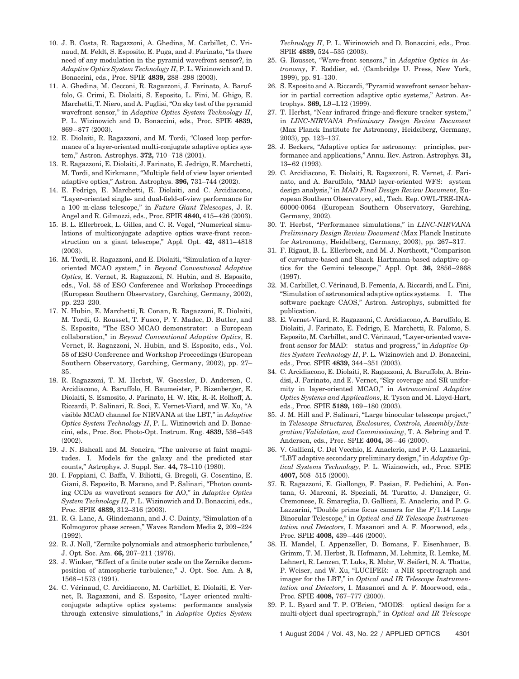- 10. J. B. Costa, R. Ragazzoni, A. Ghedina, M. Carbillet, C. Vrinaud, M. Feldt, S. Esposito, E. Puga, and J. Farinato, "Is there need of any modulation in the pyramid wavefront sensor?, in *Adaptive Optics System Technology II*, P. L. Wizinowich and D. Bonaccini, eds., Proc. SPIE **4839,** 288–298 (2003).
- 11. A. Ghedina, M. Cecconi, R. Ragazzoni, J. Farinato, A. Baruffolo, G. Crimi, E. Diolaiti, S. Esposito, L. Fini, M. Ghigo, E. Marchetti, T. Niero, and A. Puglisi, "On sky test of the pyramid wavefront sensor," in *Adaptive Optics System Technology II*, P. L. Wizinowich and D. Bonaccini, eds., Proc. SPIE **4839,** 869-877 (2003).
- 12. E. Diolaiti, R. Ragazzoni, and M. Tordi, "Closed loop performance of a layer-oriented multi-conjugate adaptive optics system," Astron. Astrophys. **372,** 710–718 (2001).
- 13. R. Ragazzoni, E. Diolaiti, J. Farinato, E. Jedrigo, E. Marchetti, M. Tordi, and Kirkmann, "Multiple field of view layer oriented adaptive optics," Astron. Astrophys. **396,** 731–744 (2002).
- 14. E. Fedrigo, E. Marchetti, E. Diolaiti, and C. Arcidiacono, "Layer-oriented single- and dual-field-of-view performance for a 100 m-class telescope," in *Future Giant Telescopes*, J. R. Angel and R. Gilmozzi, eds., Proc. SPIE **4840,** 415–426 (2003).
- 15. B. L. Ellerbroek, L. Gilles, and C. R. Vogel, "Numerical simulations of multiconjugate adaptive optics wave-front reconstruction on a giant telescope," Appl. Opt. **42,** 4811–4818  $(2003).$
- 16. M. Tordi, R. Ragazzoni, and E. Diolaiti, "Simulation of a layeroriented MCAO system," in *Beyond Conventional Adaptive Optics*, E. Vernet, R. Ragazzoni, N. Hubin, and S. Esposito, eds., Vol. 58 of ESO Conference and Workshop Proceedings (European Southern Observatory, Garching, Germany, 2002), pp. 223–230.
- 17. N. Hubin, E. Marchetti, R. Conan, R. Ragazzoni, E. Diolaiti, M. Tordi, G. Rousset, T. Fusco, P. Y. Madec, D. Butler, and S. Esposito, "The ESO MCAO demonstrator: a European collaboration," in *Beyond Conventional Adaptive Optics*, E. Vernet, R. Ragazzoni, N. Hubin, and S. Esposito, eds., Vol. 58 of ESO Conference and Workshop Proceedings (European Southern Observatory, Garching, Germany, 2002), pp. 27– 35.
- 18. R. Ragazzoni, T. M. Herbst, W. Gaessler, D. Andersen, C. Arcidiacono, A. Baruffolo, H. Baumeister, P. Bizenberger, E. Diolaiti, S. Esmosito, J. Farinato, H. W. Rix, R.-R. Rolhoff, A. Riccardi, P. Salinari, R. Soci, E. Vernet-Viard, and W. Xu, "A visible MCAO channel for NIRVANA at the LBT," in *Adaptive Optics System Technology II*, P. L. Wizinowich and D. Bonaccini, eds., Proc. Soc. Photo-Opt. Instrum. Eng. **4839,** 536–543  $(2002).$
- 19. J. N. Bahcall and M. Soneira, "The universe at faint magnitudes. I. Models for the galaxy and the predicted star counts," Astrophys. J. Suppl. Ser. 44, 73-110 (1980).
- 20. I. Foppiani, C. Baffa, V. Biliotti, G. Bregoli, G. Cosentino, E. Giani, S. Esposito, B. Marano, and P. Salinari, "Photon counting CCDs as wavefront sensors for AO," in *Adaptive Optics System Technology II*, P. L. Wizinowich and D. Bonaccini, eds., Proc. SPIE **4839,** 312–316 (2003).
- 21. R. G. Lane, A. Glindemann, and J. C. Dainty, "Simulation of a Kolmogorov phase screen," Waves Random Media **2,** 209–224  $(1992).$
- 22. R. J. Noll, "Zernike polynomials and atmospheric turbulence," J. Opt. Soc. Am. **66,** 207–211 (1976).
- 23. J. Winker, "Effect of a finite outer scale on the Zernike decomposition of atmospheric turbulence," J. Opt. Soc. Am. A **8,** 1568-1573 (1991).
- 24. C. Vérinaud, C. Arcidiacono, M. Carbillet, E. Diolaiti, E. Vernet, R. Ragazzoni, and S. Esposito, "Layer oriented multiconjugate adaptive optics systems: performance analysis through extensive simulations," in *Adaptive Optics System*

*Technology II*, P. L. Wizinowich and D. Bonaccini, eds., Proc. SPIE **4839,** 524–535 (2003).

- 25. G. Rousset, "Wave-front sensors," in *Adaptive Optics in Astronomy*, F. Roddier, ed. Cambridge U. Press, New York, 1999), pp. 91-130.
- 26. S. Esposito and A. Riccardi, "Pyramid wavefront sensor behavior in partial correction adaptive optic systems," Astron. Astrophys. **369,** L9–L12 (1999).
- 27. T. Herbst, "Near infrared fringe-and-flexure tracker system," in *LINC-NIRVANA Preliminary Design Review Document* Max Planck Institute for Astronomy, Heidelberg, Germany, 2003), pp. 123–137.
- 28. J. Beckers, "Adaptive optics for astronomy: principles, performance and applications," Annu. Rev. Astron. Astrophys. **31,** 13-62 (1993).
- 29. C. Arcidiacono, E. Diolaiti, R. Ragazzoni, E. Vernet, J. Farinato, and A. Baruffolo, "MAD layer-oriented WFS: system design analysis," in *MAD Final Design Review Document*, European Southern Observatory, ed., Tech. Rep. OWL-TRE-INA-60000-0064 European Southern Observatory, Garching, Germany, 2002).
- 30. T. Herbst, "Performance simulations," in *LINC-NIRVANA Preliminary Design Review Document* Max Planck Institute for Astronomy, Heidelberg, Germany, 2003), pp. 267–317.
- 31. F. Rigaut, B. L. Ellerbroek, and M. J. Northcott, "Comparison of curvature-based and Shack–Hartmann-based adaptive optics for the Gemini telescope," Appl. Opt. **36,** 2856–2868  $(1997).$
- 32. M. Carbillet, C. Vérinaud, B. Femenía, A. Riccardi, and L. Fini, "Simulation of astronomical adaptive optics systems. I. The software package CAOS," Astron. Astrophys, submitted for publication.
- 33. E. Vernet-Viard, R. Ragazzoni, C. Arcidiacono, A. Baruffolo, E. Diolaiti, J. Farinato, E. Fedrigo, E. Marchetti, R. Falomo, S. Esposito, M. Carbillet, and C. Vérinaud, "Layer-oriented wavefront sensor for MAD: status and progress," in *Adaptive Optics System Technology II*, P. L. Wizinowich and D. Bonaccini, eds., Proc. SPIE **4839,** 344–351 (2003).
- 34. C. Arcidiacono, E. Diolaiti, R. Ragazzoni, A. Baruffolo, A. Brindisi, J. Farinato, and E. Vernet, "Sky coverage and SR uniformity in layer-oriented MCAO," in *Astronomical Adaptive Optics Systems and Applications*, R. Tyson and M. Lloyd-Hart, eds., Proc. SPIE **5189,** 169–180 (2003).
- 35. J. M. Hill and P. Salinari, "Large binocular telescope project," in *Telescope Structures, Enclosures, Controls, AssemblyIntegrationValidation, and Commissioning*, T. A. Sebring and T. Andersen, eds., Proc. SPIE **4004,** 36–46 (2000).
- 36. V. Gallieni, C. Del Vecchio, E. Anaclerio, and P. G. Lazzarini, "LBT adaptive secondary preliminary design," in *Adaptive Optical Systems Technology*, P. L. Wizinowich, ed., Proc. SPIE **4007,** 508–515 (2000).
- 37. R. Ragazzoni, E. Giallongo, F. Pasian, F. Pedichini, A. Fontana, G. Marconi, R. Speziali, M. Turatto, J. Danziger, G. Cremonese, R. Smareglia, D. Gallieni, E. Anaclerio, and P. G. Lazzarini, "Double prime focus camera for the  $F/1.14$  Large Binocular Telescope," in *Optical and IR Telescope Instrumentation and Detectors*, I. Masanori and A. F. Moorwood, eds., Proc. SPIE 4008, 439-446 (2000).
- 38. H. Mandel, I. Appenzeller, D. Bomans, F. Eisenhauer, B. Grimm, T. M. Herbst, R. Hofmann, M. Lehmitz, R. Lemke, M. Lehnert, R. Lenzen, T. Luks, R. Mohr, W. Seifert, N. A. Thatte, P. Weiser, and W. Xu, "LUCIFER: a NIR spectrograph and imager for the LBT," in *Optical and IR Telescope Instrumentation and Detectors*, I. Masanori and A. F. Moorwood, eds., Proc. SPIE 4008, 767–777 (2000).
- 39. P. L. Byard and T. P. O'Brien, "MODS: optical design for a multi-object dual spectrograph," in *Optical and IR Telescope*